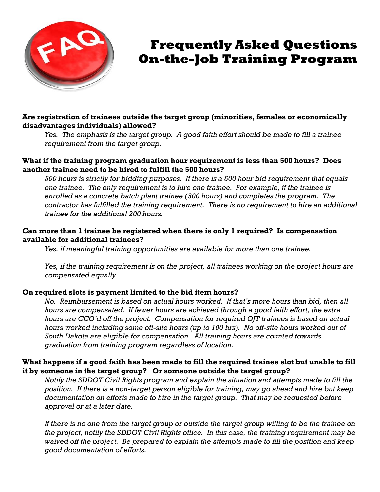

# **Frequently Asked Questions On-the-Job Training Program**

## **Are registration of trainees outside the target group (minorities, females or economically disadvantages individuals) allowed?**

*Yes. The emphasis is the target group. A good faith effort should be made to fill a trainee requirement from the target group.* 

### **What if the training program graduation hour requirement is less than 500 hours? Does another trainee need to be hired to fulfill the 500 hours?**

*500 hours is strictly for bidding purposes. If there is a 500 hour bid requirement that equals one trainee. The only requirement is to hire one trainee. For example, if the trainee is enrolled as a concrete batch plant trainee (300 hours) and completes the program. The contractor has fulfilled the training requirement. There is no requirement to hire an additional trainee for the additional 200 hours.* 

## **Can more than 1 trainee be registered when there is only 1 required? Is compensation available for additional trainees?**

*Yes, if meaningful training opportunities are available for more than one trainee.* 

*Yes, if the training requirement is on the project, all trainees working on the project hours are compensated equally.* 

## **On required slots is payment limited to the bid item hours?**

*No. Reimbursement is based on actual hours worked. If that's more hours than bid, then all hours are compensated. If fewer hours are achieved through a good faith effort, the extra hours are CCO'd off the project. Compensation for required OJT trainees is based on actual hours worked including some off-site hours (up to 100 hrs). No off-site hours worked out of South Dakota are eligible for compensation. All training hours are counted towards graduation from training program regardless of location.* 

### **What happens if a good faith has been made to fill the required trainee slot but unable to fill it by someone in the target group? Or someone outside the target group?**

*Notify the SDDOT Civil Rights program and explain the situation and attempts made to fill the position. If there is a non-target person eligible for training, may go ahead and hire but keep documentation on efforts made to hire in the target group. That may be requested before approval or at a later date.*

*If there is no one from the target group or outside the target group willing to be the trainee on the project, notify the SDDOT Civil Rights office. In this case, the training requirement may be waived off the project. Be prepared to explain the attempts made to fill the position and keep good documentation of efforts.*